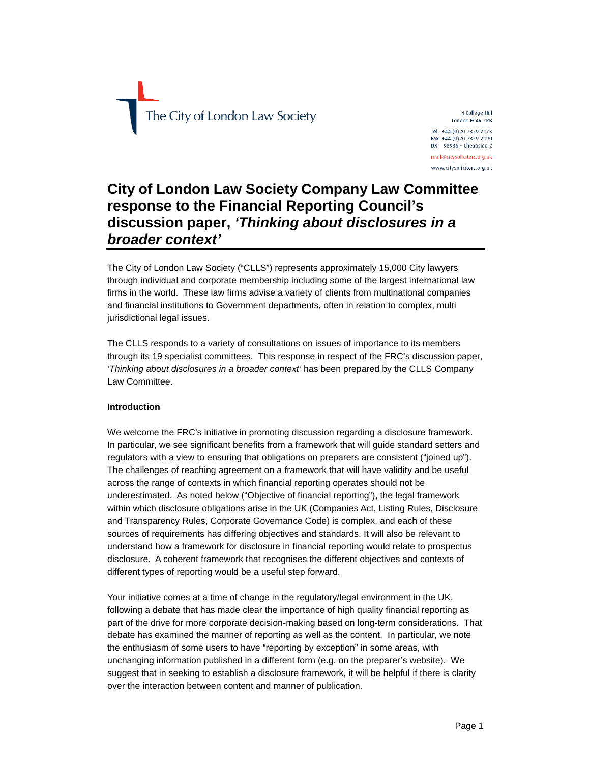

4 College Hill London EC4R 2RB Tel +44 (0) 20 7329 2173 Fax +44 (0)20 7329 2190 DX  $98936$  - Cheapside 2 mail@citysolicitors.org.uk www.citysolicitors.org.uk

# **City of London Law Society Company Law Committee response to the Financial Reporting Council's discussion paper,** *'Thinking about disclosures in a broader context'*

The City of London Law Society ("CLLS") represents approximately 15,000 City lawyers through individual and corporate membership including some of the largest international law firms in the world. These law firms advise a variety of clients from multinational companies and financial institutions to Government departments, often in relation to complex, multi jurisdictional legal issues.

The CLLS responds to a variety of consultations on issues of importance to its members through its 19 specialist committees. This response in respect of the FRC's discussion paper, *'Thinking about disclosures in a broader context'* has been prepared by the CLLS Company Law Committee.

### **Introduction**

We welcome the FRC's initiative in promoting discussion regarding a disclosure framework. In particular, we see significant benefits from a framework that will guide standard setters and regulators with a view to ensuring that obligations on preparers are consistent ("joined up"). The challenges of reaching agreement on a framework that will have validity and be useful across the range of contexts in which financial reporting operates should not be underestimated. As noted below ("Objective of financial reporting"), the legal framework within which disclosure obligations arise in the UK (Companies Act, Listing Rules, Disclosure and Transparency Rules, Corporate Governance Code) is complex, and each of these sources of requirements has differing objectives and standards. It will also be relevant to understand how a framework for disclosure in financial reporting would relate to prospectus disclosure. A coherent framework that recognises the different objectives and contexts of different types of reporting would be a useful step forward.

Your initiative comes at a time of change in the regulatory/legal environment in the UK, following a debate that has made clear the importance of high quality financial reporting as part of the drive for more corporate decision-making based on long-term considerations. That debate has examined the manner of reporting as well as the content. In particular, we note the enthusiasm of some users to have "reporting by exception" in some areas, with unchanging information published in a different form (e.g. on the preparer's website). We suggest that in seeking to establish a disclosure framework, it will be helpful if there is clarity over the interaction between content and manner of publication.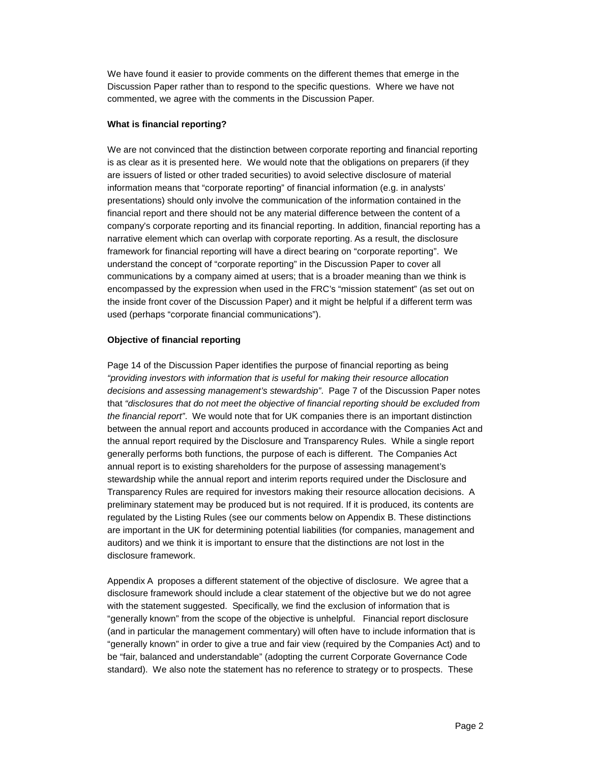We have found it easier to provide comments on the different themes that emerge in the Discussion Paper rather than to respond to the specific questions. Where we have not commented, we agree with the comments in the Discussion Paper.

## **What is financial reporting?**

We are not convinced that the distinction between corporate reporting and financial reporting is as clear as it is presented here. We would note that the obligations on preparers (if they are issuers of listed or other traded securities) to avoid selective disclosure of material information means that "corporate reporting" of financial information (e.g. in analysts' presentations) should only involve the communication of the information contained in the financial report and there should not be any material difference between the content of a company's corporate reporting and its financial reporting. In addition, financial reporting has a narrative element which can overlap with corporate reporting. As a result, the disclosure framework for financial reporting will have a direct bearing on "corporate reporting". We understand the concept of "corporate reporting" in the Discussion Paper to cover all communications by a company aimed at users; that is a broader meaning than we think is encompassed by the expression when used in the FRC's "mission statement" (as set out on the inside front cover of the Discussion Paper) and it might be helpful if a different term was used (perhaps "corporate financial communications").

# **Objective of financial reporting**

Page 14 of the Discussion Paper identifies the purpose of financial reporting as being *"providing investors with information that is useful for making their resource allocation decisions and assessing management's stewardship"*. Page 7 of the Discussion Paper notes that *"disclosures that do not meet the objective of financial reporting should be excluded from the financial report"*. We would note that for UK companies there is an important distinction between the annual report and accounts produced in accordance with the Companies Act and the annual report required by the Disclosure and Transparency Rules. While a single report generally performs both functions, the purpose of each is different. The Companies Act annual report is to existing shareholders for the purpose of assessing management's stewardship while the annual report and interim reports required under the Disclosure and Transparency Rules are required for investors making their resource allocation decisions. A preliminary statement may be produced but is not required. If it is produced, its contents are regulated by the Listing Rules (see our comments below on Appendix B. These distinctions are important in the UK for determining potential liabilities (for companies, management and auditors) and we think it is important to ensure that the distinctions are not lost in the disclosure framework.

Appendix A proposes a different statement of the objective of disclosure. We agree that a disclosure framework should include a clear statement of the objective but we do not agree with the statement suggested. Specifically, we find the exclusion of information that is "generally known" from the scope of the objective is unhelpful. Financial report disclosure (and in particular the management commentary) will often have to include information that is "generally known" in order to give a true and fair view (required by the Companies Act) and to be "fair, balanced and understandable" (adopting the current Corporate Governance Code standard). We also note the statement has no reference to strategy or to prospects. These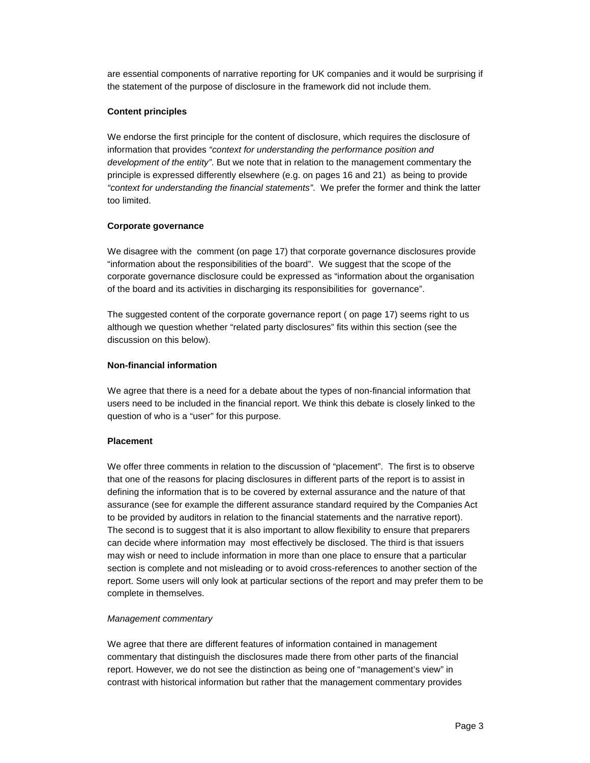are essential components of narrative reporting for UK companies and it would be surprising if the statement of the purpose of disclosure in the framework did not include them.

## **Content principles**

We endorse the first principle for the content of disclosure, which requires the disclosure of information that provides *"context for understanding the performance position and development of the entity"*. But we note that in relation to the management commentary the principle is expressed differently elsewhere (e.g. on pages 16 and 21) as being to provide *"context for understanding the financial statements"*. We prefer the former and think the latter too limited.

# **Corporate governance**

We disagree with the comment (on page 17) that corporate governance disclosures provide "information about the responsibilities of the board". We suggest that the scope of the corporate governance disclosure could be expressed as "information about the organisation of the board and its activities in discharging its responsibilities for governance".

The suggested content of the corporate governance report ( on page 17) seems right to us although we question whether "related party disclosures" fits within this section (see the discussion on this below).

# **Non-financial information**

We agree that there is a need for a debate about the types of non-financial information that users need to be included in the financial report. We think this debate is closely linked to the question of who is a "user" for this purpose.

# **Placement**

We offer three comments in relation to the discussion of "placement". The first is to observe that one of the reasons for placing disclosures in different parts of the report is to assist in defining the information that is to be covered by external assurance and the nature of that assurance (see for example the different assurance standard required by the Companies Act to be provided by auditors in relation to the financial statements and the narrative report). The second is to suggest that it is also important to allow flexibility to ensure that preparers can decide where information may most effectively be disclosed. The third is that issuers may wish or need to include information in more than one place to ensure that a particular section is complete and not misleading or to avoid cross-references to another section of the report. Some users will only look at particular sections of the report and may prefer them to be complete in themselves.

### *Management commentary*

We agree that there are different features of information contained in management commentary that distinguish the disclosures made there from other parts of the financial report. However, we do not see the distinction as being one of "management's view" in contrast with historical information but rather that the management commentary provides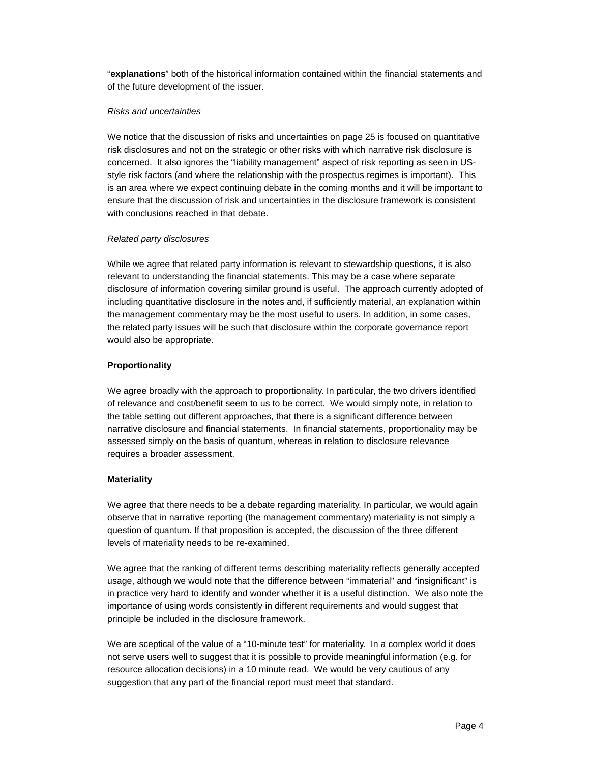"**explanations**" both of the historical information contained within the financial statements and of the future development of the issuer.

#### *Risks and uncertainties*

We notice that the discussion of risks and uncertainties on page 25 is focused on quantitative risk disclosures and not on the strategic or other risks with which narrative risk disclosure is concerned. It also ignores the "liability management" aspect of risk reporting as seen in USstyle risk factors (and where the relationship with the prospectus regimes is important). This is an area where we expect continuing debate in the coming months and it will be important to ensure that the discussion of risk and uncertainties in the disclosure framework is consistent with conclusions reached in that debate.

### *Related party disclosures*

While we agree that related party information is relevant to stewardship questions, it is also relevant to understanding the financial statements. This may be a case where separate disclosure of information covering similar ground is useful. The approach currently adopted of including quantitative disclosure in the notes and, if sufficiently material, an explanation within the management commentary may be the most useful to users. In addition, in some cases, the related party issues will be such that disclosure within the corporate governance report would also be appropriate.

### **Proportionality**

We agree broadly with the approach to proportionality. In particular, the two drivers identified of relevance and cost/benefit seem to us to be correct. We would simply note, in relation to the table setting out different approaches, that there is a significant difference between narrative disclosure and financial statements. In financial statements, proportionality may be assessed simply on the basis of quantum, whereas in relation to disclosure relevance requires a broader assessment.

### **Materiality**

We agree that there needs to be a debate regarding materiality. In particular, we would again observe that in narrative reporting (the management commentary) materiality is not simply a question of quantum. If that proposition is accepted, the discussion of the three different levels of materiality needs to be re-examined.

We agree that the ranking of different terms describing materiality reflects generally accepted usage, although we would note that the difference between "immaterial" and "insignificant" is in practice very hard to identify and wonder whether it is a useful distinction. We also note the importance of using words consistently in different requirements and would suggest that principle be included in the disclosure framework.

We are sceptical of the value of a "10-minute test" for materiality. In a complex world it does not serve users well to suggest that it is possible to provide meaningful information (e.g. for resource allocation decisions) in a 10 minute read. We would be very cautious of any suggestion that any part of the financial report must meet that standard.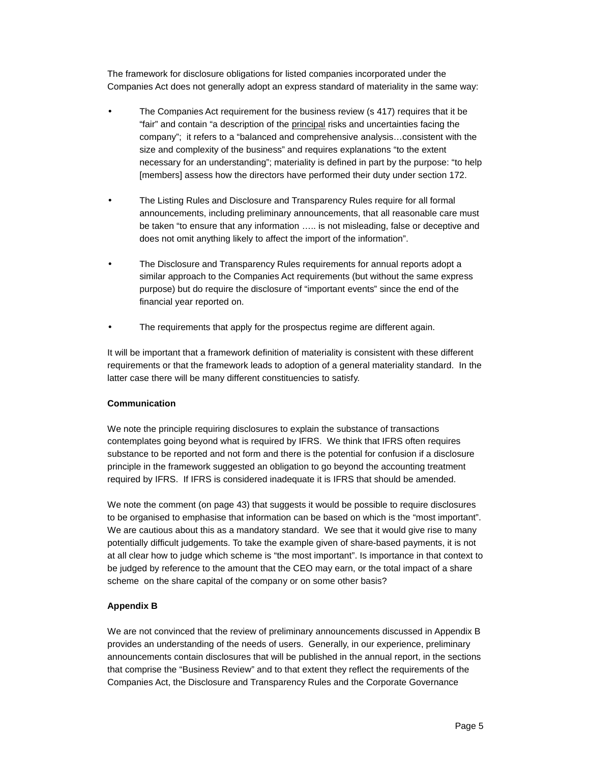The framework for disclosure obligations for listed companies incorporated under the Companies Act does not generally adopt an express standard of materiality in the same way:

- The Companies Act requirement for the business review (s 417) requires that it be "fair" and contain "a description of the principal risks and uncertainties facing the company"; it refers to a "balanced and comprehensive analysis…consistent with the size and complexity of the business" and requires explanations "to the extent necessary for an understanding"; materiality is defined in part by the purpose: "to help [members] assess how the directors have performed their duty under section 172.
- The Listing Rules and Disclosure and Transparency Rules require for all formal announcements, including preliminary announcements, that all reasonable care must be taken "to ensure that any information ….. is not misleading, false or deceptive and does not omit anything likely to affect the import of the information".
- The Disclosure and Transparency Rules requirements for annual reports adopt a similar approach to the Companies Act requirements (but without the same express purpose) but do require the disclosure of "important events" since the end of the financial year reported on.
- The requirements that apply for the prospectus regime are different again.

It will be important that a framework definition of materiality is consistent with these different requirements or that the framework leads to adoption of a general materiality standard. In the latter case there will be many different constituencies to satisfy.

#### **Communication**

We note the principle requiring disclosures to explain the substance of transactions contemplates going beyond what is required by IFRS. We think that IFRS often requires substance to be reported and not form and there is the potential for confusion if a disclosure principle in the framework suggested an obligation to go beyond the accounting treatment required by IFRS. If IFRS is considered inadequate it is IFRS that should be amended.

We note the comment (on page 43) that suggests it would be possible to require disclosures to be organised to emphasise that information can be based on which is the "most important". We are cautious about this as a mandatory standard. We see that it would give rise to many potentially difficult judgements. To take the example given of share-based payments, it is not at all clear how to judge which scheme is "the most important". Is importance in that context to be judged by reference to the amount that the CEO may earn, or the total impact of a share scheme on the share capital of the company or on some other basis?

### **Appendix B**

We are not convinced that the review of preliminary announcements discussed in Appendix B provides an understanding of the needs of users. Generally, in our experience, preliminary announcements contain disclosures that will be published in the annual report, in the sections that comprise the "Business Review" and to that extent they reflect the requirements of the Companies Act, the Disclosure and Transparency Rules and the Corporate Governance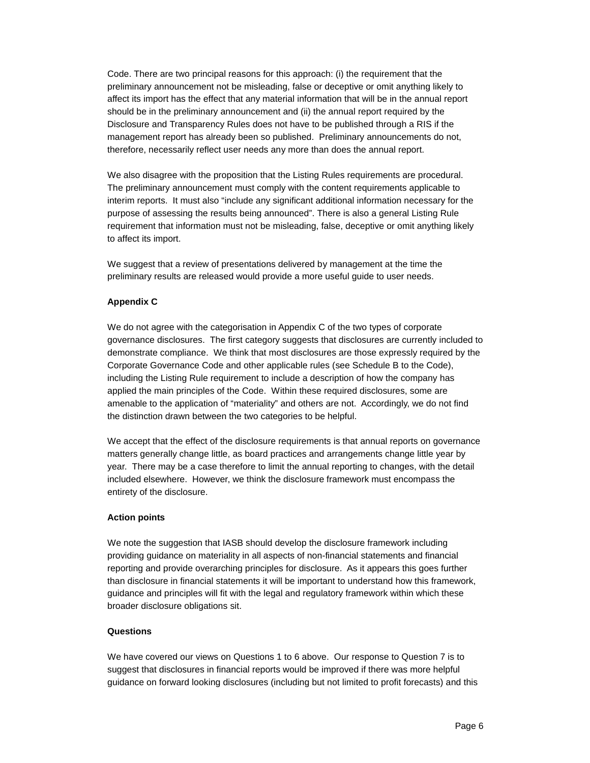Code. There are two principal reasons for this approach: (i) the requirement that the preliminary announcement not be misleading, false or deceptive or omit anything likely to affect its import has the effect that any material information that will be in the annual report should be in the preliminary announcement and (ii) the annual report required by the Disclosure and Transparency Rules does not have to be published through a RIS if the management report has already been so published. Preliminary announcements do not, therefore, necessarily reflect user needs any more than does the annual report.

We also disagree with the proposition that the Listing Rules requirements are procedural. The preliminary announcement must comply with the content requirements applicable to interim reports. It must also "include any significant additional information necessary for the purpose of assessing the results being announced". There is also a general Listing Rule requirement that information must not be misleading, false, deceptive or omit anything likely to affect its import.

We suggest that a review of presentations delivered by management at the time the preliminary results are released would provide a more useful guide to user needs.

# **Appendix C**

We do not agree with the categorisation in Appendix C of the two types of corporate governance disclosures. The first category suggests that disclosures are currently included to demonstrate compliance. We think that most disclosures are those expressly required by the Corporate Governance Code and other applicable rules (see Schedule B to the Code), including the Listing Rule requirement to include a description of how the company has applied the main principles of the Code. Within these required disclosures, some are amenable to the application of "materiality" and others are not. Accordingly, we do not find the distinction drawn between the two categories to be helpful.

We accept that the effect of the disclosure requirements is that annual reports on governance matters generally change little, as board practices and arrangements change little year by year. There may be a case therefore to limit the annual reporting to changes, with the detail included elsewhere. However, we think the disclosure framework must encompass the entirety of the disclosure.

### **Action points**

We note the suggestion that IASB should develop the disclosure framework including providing guidance on materiality in all aspects of non-financial statements and financial reporting and provide overarching principles for disclosure. As it appears this goes further than disclosure in financial statements it will be important to understand how this framework, guidance and principles will fit with the legal and regulatory framework within which these broader disclosure obligations sit.

## **Questions**

We have covered our views on Questions 1 to 6 above. Our response to Question 7 is to suggest that disclosures in financial reports would be improved if there was more helpful guidance on forward looking disclosures (including but not limited to profit forecasts) and this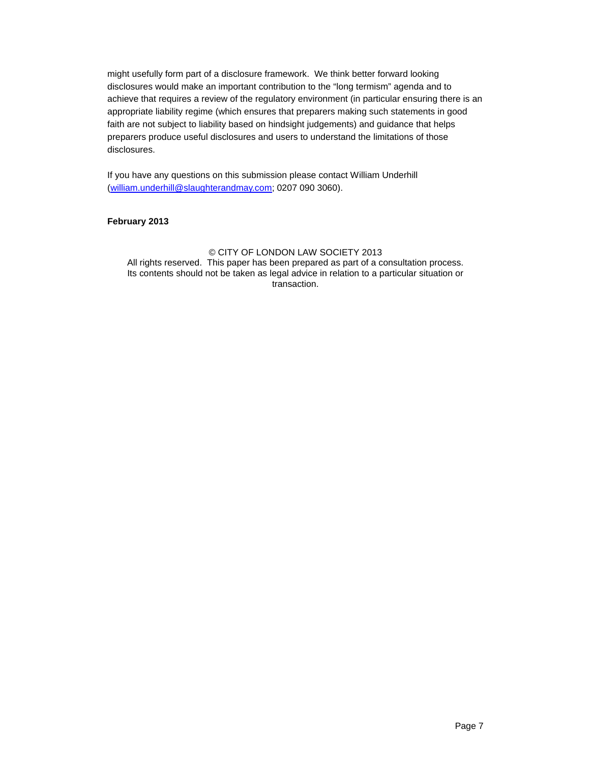might usefully form part of a disclosure framework. We think better forward looking disclosures would make an important contribution to the "long termism" agenda and to achieve that requires a review of the regulatory environment (in particular ensuring there is an appropriate liability regime (which ensures that preparers making such statements in good faith are not subject to liability based on hindsight judgements) and guidance that helps preparers produce useful disclosures and users to understand the limitations of those disclosures.

If you have any questions on this submission please contact William Underhill (william.underhill@slaughterandmay.com; 0207 090 3060).

### **February 2013**

#### © CITY OF LONDON LAW SOCIETY 2013 All rights reserved. This paper has been prepared as part of a consultation process. Its contents should not be taken as legal advice in relation to a particular situation or transaction.